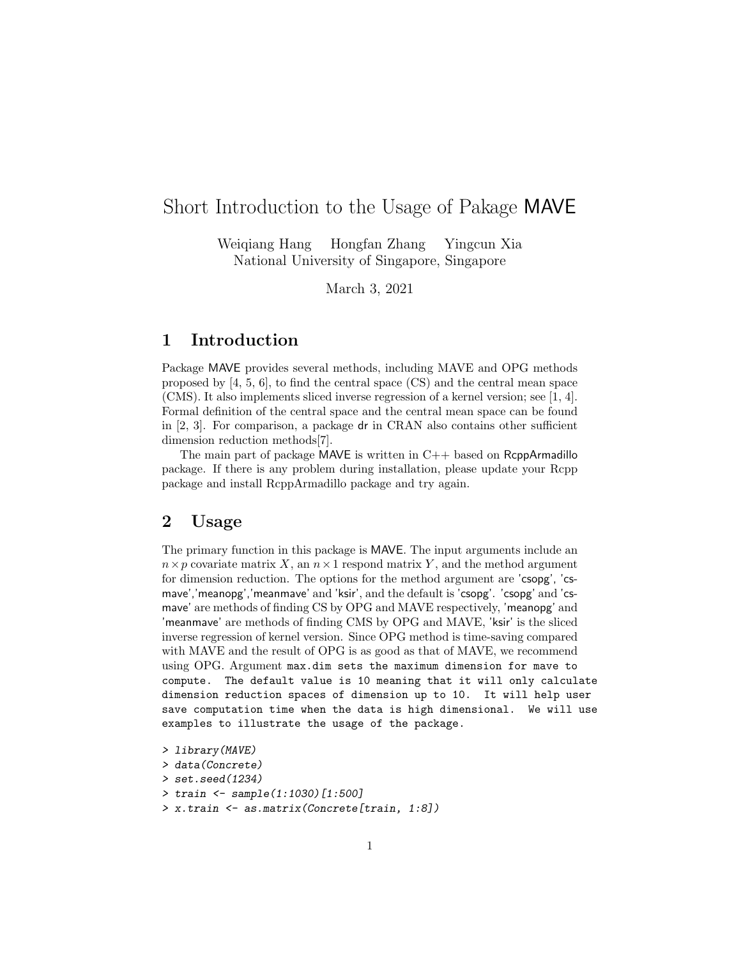## Short Introduction to the Usage of Pakage MAVE

Weiqiang Hang Hongfan Zhang Yingcun Xia National University of Singapore, Singapore

March 3, 2021

## 1 Introduction

Package MAVE provides several methods, including MAVE and OPG methods proposed by  $[4, 5, 6]$ , to find the central space  $\left(\text{CS}\right)$  and the central mean space (CMS). It also implements sliced inverse regression of a kernel version; see [1, 4]. Formal definition of the central space and the central mean space can be found in [2, 3]. For comparison, a package dr in CRAN also contains other sufficient dimension reduction methods[7].

The main part of package MAVE is written in  $C_{++}$  based on RcppArmadillo package. If there is any problem during installation, please update your Rcpp package and install RcppArmadillo package and try again.

## 2 Usage

The primary function in this package is MAVE. The input arguments include an  $n \times p$  covariate matrix X, an  $n \times 1$  respond matrix Y, and the method argument for dimension reduction. The options for the method argument are 'csopg', 'csmave','meanopg','meanmave' and 'ksir', and the default is 'csopg'. 'csopg' and 'csmave' are methods of finding CS by OPG and MAVE respectively, 'meanopg' and 'meanmave' are methods of finding CMS by OPG and MAVE, 'ksir' is the sliced inverse regression of kernel version. Since OPG method is time-saving compared with MAVE and the result of OPG is as good as that of MAVE, we recommend using OPG. Argument max.dim sets the maximum dimension for mave to compute. The default value is 10 meaning that it will only calculate dimension reduction spaces of dimension up to 10. It will help user save computation time when the data is high dimensional. We will use examples to illustrate the usage of the package.

> library(MAVE) > data(Concrete) > set.seed(1234) > train <- sample(1:1030)[1:500] > x.train <- as.matrix(Concrete[train, 1:8])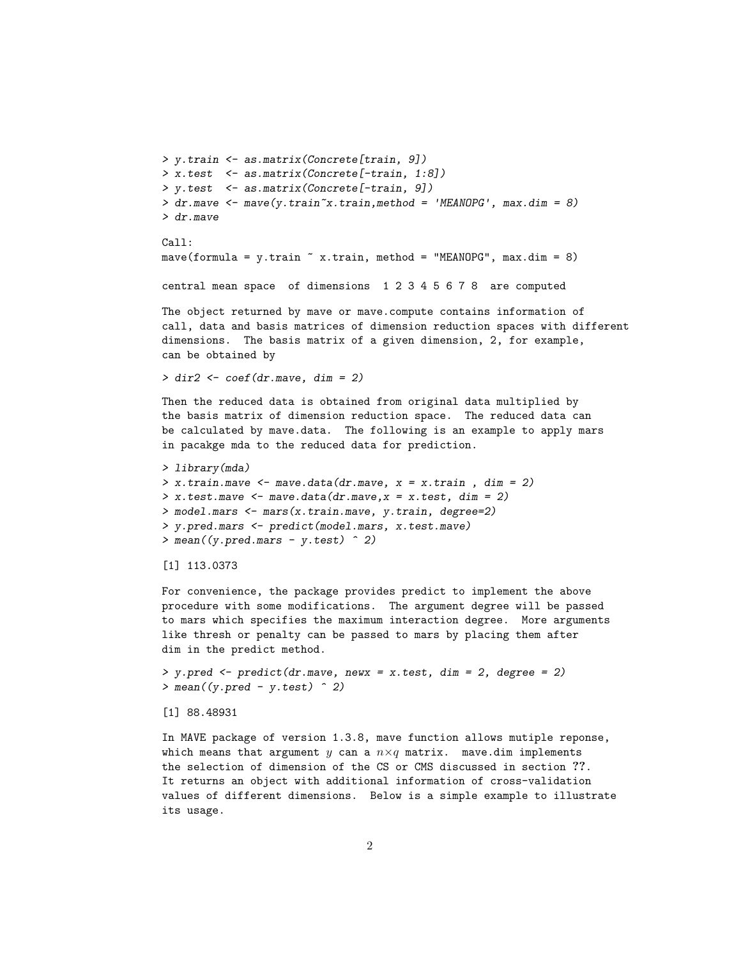```
> y.train <- as.matrix(Concrete[train, 9])
> x.test <- as.matrix(Concrete[-train, 1:8])
> y.test <- as.matrix(Concrete[-train, 9])
> dr.mave <- mave(y.train~x.train,method = 'MEANOPG', max.dim = 8)
> dr.mave
```

```
Call:
mave(formula = y.train \tilde{ } x.train, method = "MEANOPG", max.dim = 8)
```
central mean space of dimensions 1 2 3 4 5 6 7 8 are computed

The object returned by mave or mave.compute contains information of call, data and basis matrices of dimension reduction spaces with different dimensions. The basis matrix of a given dimension, 2, for example, can be obtained by

 $>$  dir2  $<-$  coef(dr.mave, dim = 2)

Then the reduced data is obtained from original data multiplied by the basis matrix of dimension reduction space. The reduced data can be calculated by mave.data. The following is an example to apply mars in pacakge mda to the reduced data for prediction.

```
> library(mda)
> x. train.mac \leftarrow have.data(dr.mac, x = x. train, dim = 2)> x.test.maxe < - mave.data(dr.mave, x = x.test, dim = 2)
> model.mars <- mars(x.train.mave, y.train, degree=2)
> y.pred.mars <- predict(model.mars, x.test.mave)
> mean((y.pred.mars - y.test) \hat{ } 2)
```

```
[1] 113.0373
```
For convenience, the package provides predict to implement the above procedure with some modifications. The argument degree will be passed to mars which specifies the maximum interaction degree. More arguments like thresh or penalty can be passed to mars by placing them after dim in the predict method.

> y.pred <- predict(dr.mave, newx = x.test, dim = 2, degree = 2)  $>$  mean((y.pred - y.test)  $\hat{ }$  2)

[1] 88.48931

In MAVE package of version 1.3.8, mave function allows mutiple reponse, which means that argument  $y$  can a  $n \times q$  matrix. mave.dim implements the selection of dimension of the CS or CMS discussed in section ??. It returns an object with additional information of cross-validation values of different dimensions. Below is a simple example to illustrate its usage.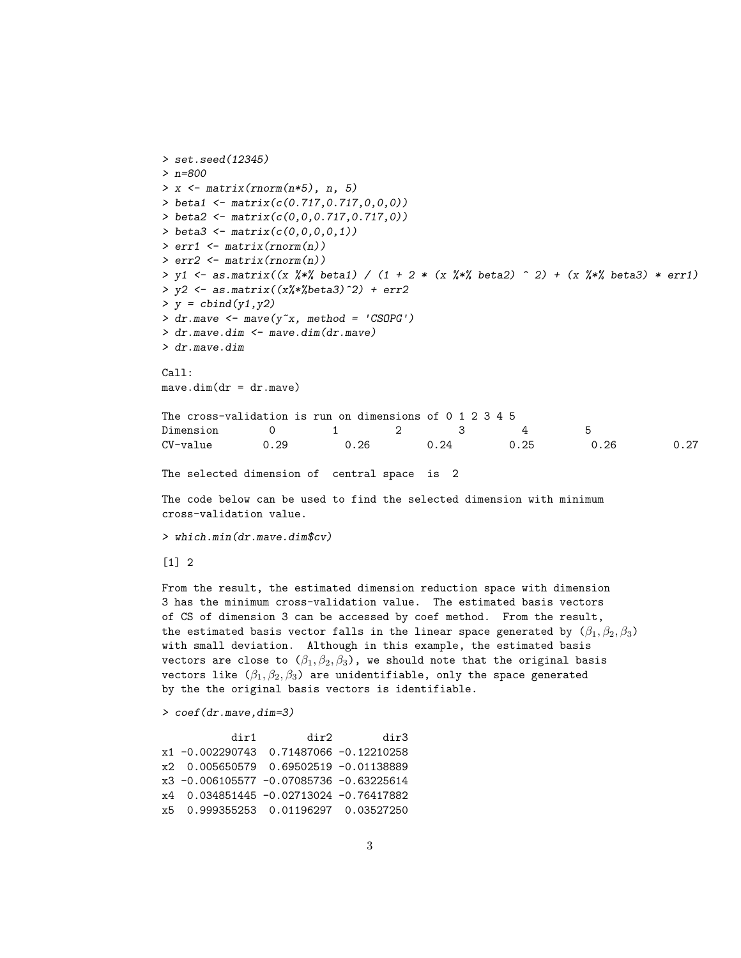```
> set.seed(12345)
> n=800
> x \leftarrow matrix( {rnorm(n*5), n, 5} )> beta1 <- matrix(c(0.717,0.717,0,0,0))
> beta2 <- matrix(c(0,0,0.717,0.717,0))
> beta3 <- matrix(c(0,0,0,0,1))> err1 \leftarrow matrix(rnorm(n))
> err2 < - matrix(rnorm(n))> y1 \leq -as.matrix((x \frac{9}{6} x) \leq -at) / (1 + 2 * (x \frac{9}{6} x) \leq -at) - (x \frac{9}{6} x) \leq -at) + (x %*) beta3) * err1)
> y2 \leftarrow as.matrix(x\%*\%beta3)^2) + err2> y = \text{cbind}(y1, y2)> dr.mave <- mave(y<sup>x</sup>, method = 'CSOPG')
> dr.mave.dim <- mave.dim(dr.mave)
> dr.mave.dim
Call:
mave.dim(dr = dr.mave)The cross-validation is run on dimensions of 0 1 2 3 4 5
Dimension 0 1 2 3 4 5
CV-value 0.29 0.26 0.24 0.25 0.26 0.27
The selected dimension of central space is 2
```
The code below can be used to find the selected dimension with minimum cross-validation value.

> which.min(dr.mave.dim\$cv)

[1] 2

From the result, the estimated dimension reduction space with dimension 3 has the minimum cross-validation value. The estimated basis vectors of CS of dimension 3 can be accessed by coef method. From the result, the estimated basis vector falls in the linear space generated by  $(\beta_1, \beta_2, \beta_3)$ with small deviation. Although in this example, the estimated basis vectors are close to  $(\beta_1, \beta_2, \beta_3)$ , we should note that the original basis vectors like  $(\beta_1, \beta_2, \beta_3)$  are unidentifiable, only the space generated by the the original basis vectors is identifiable.

> coef(dr.mave,dim=3)

| dir1                                    | dir2 | dir3 |
|-----------------------------------------|------|------|
| x1 -0.002290743 0.71487066 -0.12210258  |      |      |
| x2 0.005650579 0.69502519 -0.01138889   |      |      |
| x3 -0.006105577 -0.07085736 -0.63225614 |      |      |
| x4 0.034851445 -0.02713024 -0.76417882  |      |      |
| x5 0.999355253 0.01196297 0.03527250    |      |      |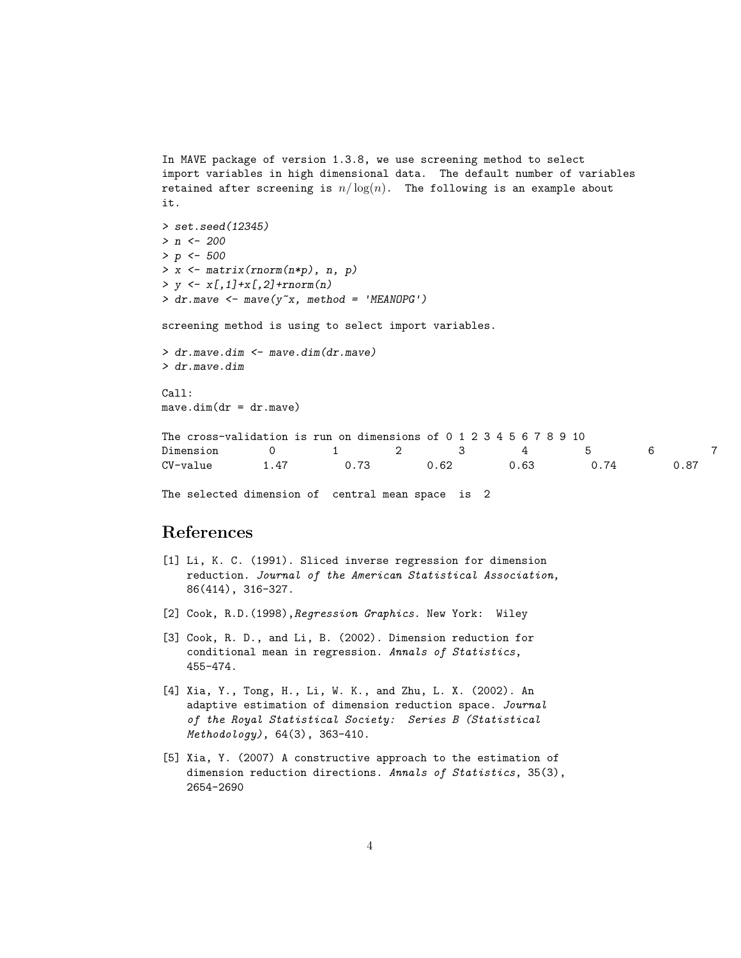```
In MAVE package of version 1.3.8, we use screening method to select
import variables in high dimensional data. The default number of variables
retained after screening is n/\log(n). The following is an example about
it.
> set.seed(12345)
> n < -200> p \le -500> x \leftarrow matrix( {rnorm(n*p), n, p} )> y \leftarrow x[, 1] + x[, 2] + \text{norm}(n)> dr.mave <- mave(y^xx, method = 'MEANOPG')
screening method is using to select import variables.
> dr.mave.dim <- mave.dim(dr.mave)
> dr.mave.dim
Call:
mave.dim(dr = dr.mave)The cross-validation is run on dimensions of 0 1 2 3 4 5 6 7 8 9 10
Dimension 0 1 2 3 4 5 6 7
```
CV-value 1.47 0.73 0.62 0.63 0.74 0.87

The selected dimension of central mean space is 2

## References

- [1] Li, K. C. (1991). Sliced inverse regression for dimension reduction. Journal of the American Statistical Association, 86(414), 316-327.
- [2] Cook, R.D.(1998), Regression Graphics. New York: Wiley
- [3] Cook, R. D., and Li, B. (2002). Dimension reduction for conditional mean in regression. Annals of Statistics, 455-474.
- [4] Xia, Y., Tong, H., Li, W. K., and Zhu, L. X. (2002). An adaptive estimation of dimension reduction space. Journal of the Royal Statistical Society: Series B (Statistical Methodology), 64(3), 363-410.
- [5] Xia, Y. (2007) A constructive approach to the estimation of dimension reduction directions. Annals of Statistics, 35(3), 2654-2690